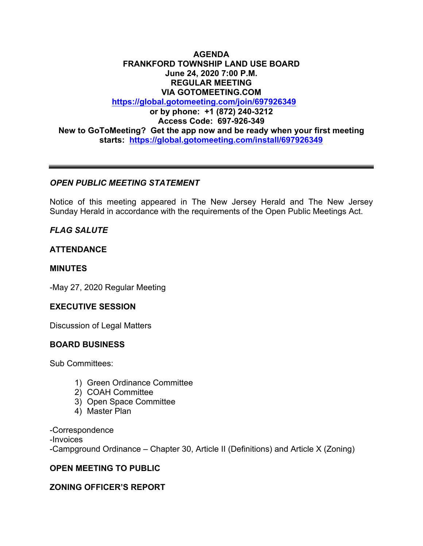## **AGENDA FRANKFORD TOWNSHIP LAND USE BOARD June 24, 2020 7:00 P.M. REGULAR MEETING VIA GOTOMEETING.COM https://global.gotomeeting.com/join/697926349 or by phone: +1 (872) 240-3212 Access Code: 697-926-349 New to GoToMeeting? Get the app now and be ready when your first meeting starts: https://global.gotomeeting.com/install/697926349**

### *OPEN PUBLIC MEETING STATEMENT*

Notice of this meeting appeared in The New Jersey Herald and The New Jersey Sunday Herald in accordance with the requirements of the Open Public Meetings Act.

# *FLAG SALUTE*

### **ATTENDANCE**

### **MINUTES**

-May 27, 2020 Regular Meeting

### **EXECUTIVE SESSION**

Discussion of Legal Matters

### **BOARD BUSINESS**

Sub Committees:

- 1) Green Ordinance Committee
- 2) COAH Committee
- 3) Open Space Committee
- 4) Master Plan

-Correspondence -Invoices -Campground Ordinance – Chapter 30, Article II (Definitions) and Article X (Zoning)

### **OPEN MEETING TO PUBLIC**

### **ZONING OFFICER'S REPORT**